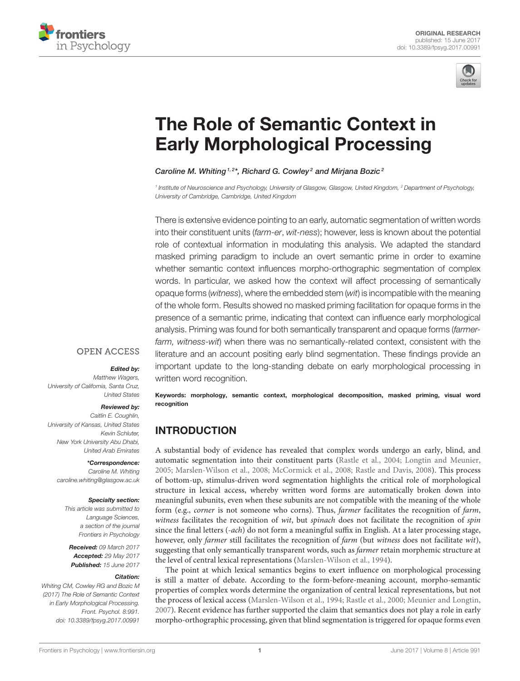



# The Role of Semantic Context in [Early Morphological Processing](http://journal.frontiersin.org/article/10.3389/fpsyg.2017.00991/abstract)

#### [Caroline M. Whiting](http://loop.frontiersin.org/people/89478/overview)  $1,2*$ , [Richard G. Cowley](http://loop.frontiersin.org/people/422199/overview) 2 and [Mirjana Bozic](http://loop.frontiersin.org/people/32188/overview)  $^2$

*1 Institute of Neuroscience and Psychology, University of Glasgow, Glasgow, United Kingdom, <sup>2</sup> Department of Psychology, University of Cambridge, Cambridge, United Kingdom*

There is extensive evidence pointing to an early, automatic segmentation of written words into their constituent units (*farm-er*, *wit-ness*); however, less is known about the potential role of contextual information in modulating this analysis. We adapted the standard masked priming paradigm to include an overt semantic prime in order to examine whether semantic context influences morpho-orthographic segmentation of complex words. In particular, we asked how the context will affect processing of semantically opaque forms (*witness*), where the embedded stem (*wit*) is incompatible with the meaning of the whole form. Results showed no masked priming facilitation for opaque forms in the presence of a semantic prime, indicating that context can influence early morphological analysis. Priming was found for both semantically transparent and opaque forms (*farmerfarm, witness-wit*) when there was no semantically-related context, consistent with the literature and an account positing early blind segmentation. These findings provide an important update to the long-standing debate on early morphological processing in written word recognition.

#### **OPEN ACCESS**

#### Edited by:

*Matthew Wagers, University of California, Santa Cruz, United States*

#### Reviewed by:

*Caitlin E. Coughlin, University of Kansas, United States Kevin Schluter, New York University Abu Dhabi, United Arab Emirates*

#### \*Correspondence:

*Caroline M. Whiting [caroline.whiting@glasgow.ac.uk](mailto:caroline.whiting@glasgow.ac.uk)*

#### Specialty section:

*This article was submitted to Language Sciences, a section of the journal Frontiers in Psychology*

Received: *09 March 2017* Accepted: *29 May 2017* Published: *15 June 2017*

#### Citation:

*Whiting CM, Cowley RG and Bozic M (2017) The Role of Semantic Context in Early Morphological Processing. Front. Psychol. 8:991. doi: [10.3389/fpsyg.2017.00991](https://doi.org/10.3389/fpsyg.2017.00991)*

Keywords: morphology, semantic context, morphological decomposition, masked priming, visual word recognition

## INTRODUCTION

A substantial body of evidence has revealed that complex words undergo an early, blind, and automatic segmentation into their constituent parts [\(Rastle et al., 2004;](#page-9-0) [Longtin and Meunier,](#page-9-1) [2005;](#page-9-1) [Marslen-Wilson et al., 2008;](#page-9-2) [McCormick et al., 2008;](#page-9-3) [Rastle and Davis, 2008\)](#page-9-4). This process of bottom-up, stimulus-driven word segmentation highlights the critical role of morphological structure in lexical access, whereby written word forms are automatically broken down into meaningful subunits, even when these subunits are not compatible with the meaning of the whole form (e.g., corner is not someone who corns). Thus, farmer facilitates the recognition of farm, witness facilitates the recognition of wit, but spinach does not facilitate the recognition of spin since the final letters (-ach) do not form a meaningful suffix in English. At a later processing stage, however, only farmer still facilitates the recognition of farm (but witness does not facilitate wit), suggesting that only semantically transparent words, such as farmer retain morphemic structure at the level of central lexical representations [\(Marslen-Wilson et al., 1994\)](#page-9-5).

The point at which lexical semantics begins to exert influence on morphological processing is still a matter of debate. According to the form-before-meaning account, morpho-semantic properties of complex words determine the organization of central lexical representations, but not the process of lexical access [\(Marslen-Wilson et al., 1994;](#page-9-5) [Rastle et al., 2000;](#page-9-6) [Meunier and Longtin,](#page-9-7) [2007\)](#page-9-7). Recent evidence has further supported the claim that semantics does not play a role in early morpho-orthographic processing, given that blind segmentation is triggered for opaque forms even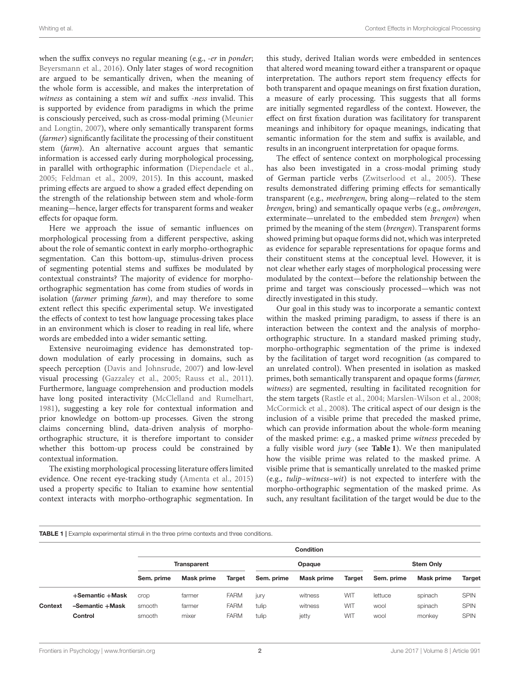when the suffix conveys no regular meaning (e.g., -er in ponder; [Beyersmann et al., 2016\)](#page-9-8). Only later stages of word recognition are argued to be semantically driven, when the meaning of the whole form is accessible, and makes the interpretation of witness as containing a stem wit and suffix -ness invalid. This is supported by evidence from paradigms in which the prime is consciously perceived, such as cross-modal priming (Meunier and Longtin, [2007\)](#page-9-7), where only semantically transparent forms (farmer) significantly facilitate the processing of their constituent stem (farm). An alternative account argues that semantic information is accessed early during morphological processing, in parallel with orthographic information [\(Diependaele et al.,](#page-9-9) [2005;](#page-9-9) [Feldman et al., 2009,](#page-9-10) [2015\)](#page-9-11). In this account, masked priming effects are argued to show a graded effect depending on the strength of the relationship between stem and whole-form meaning—hence, larger effects for transparent forms and weaker effects for opaque form.

Here we approach the issue of semantic influences on morphological processing from a different perspective, asking about the role of semantic context in early morpho-orthographic segmentation. Can this bottom-up, stimulus-driven process of segmenting potential stems and suffixes be modulated by contextual constraints? The majority of evidence for morphoorthographic segmentation has come from studies of words in isolation (farmer priming farm), and may therefore to some extent reflect this specific experimental setup. We investigated the effects of context to test how language processing takes place in an environment which is closer to reading in real life, where words are embedded into a wider semantic setting.

Extensive neuroimaging evidence has demonstrated topdown modulation of early processing in domains, such as speech perception [\(Davis and Johnsrude, 2007\)](#page-9-12) and low-level visual processing [\(Gazzaley et al., 2005;](#page-9-13) [Rauss et al., 2011\)](#page-9-14). Furthermore, language comprehension and production models have long posited interactivity [\(McClelland and Rumelhart,](#page-9-15) [1981\)](#page-9-15), suggesting a key role for contextual information and prior knowledge on bottom-up processes. Given the strong claims concerning blind, data-driven analysis of morphoorthographic structure, it is therefore important to consider whether this bottom-up process could be constrained by contextual information.

The existing morphological processing literature offers limited evidence. One recent eye-tracking study [\(Amenta et al., 2015\)](#page-9-16) used a property specific to Italian to examine how sentential context interacts with morpho-orthographic segmentation. In this study, derived Italian words were embedded in sentences that altered word meaning toward either a transparent or opaque interpretation. The authors report stem frequency effects for both transparent and opaque meanings on first fixation duration, a measure of early processing. This suggests that all forms are initially segmented regardless of the context. However, the effect on first fixation duration was facilitatory for transparent meanings and inhibitory for opaque meanings, indicating that semantic information for the stem and suffix is available, and results in an incongruent interpretation for opaque forms.

The effect of sentence context on morphological processing has also been investigated in a cross-modal priming study of German particle verbs [\(Zwitserlood et al., 2005\)](#page-9-17). These results demonstrated differing priming effects for semantically transparent (e.g., meebrengen, bring along—related to the stem brengen, bring) and semantically opaque verbs (e.g., ombrengen, exterminate—unrelated to the embedded stem brengen) when primed by the meaning of the stem (brengen). Transparent forms showed priming but opaque forms did not, which was interpreted as evidence for separable representations for opaque forms and their constituent stems at the conceptual level. However, it is not clear whether early stages of morphological processing were modulated by the context—before the relationship between the prime and target was consciously processed—which was not directly investigated in this study.

Our goal in this study was to incorporate a semantic context within the masked priming paradigm, to assess if there is an interaction between the context and the analysis of morphoorthographic structure. In a standard masked priming study, morpho-orthographic segmentation of the prime is indexed by the facilitation of target word recognition (as compared to an unrelated control). When presented in isolation as masked primes, both semantically transparent and opaque forms (farmer, witness) are segmented, resulting in facilitated recognition for the stem targets [\(Rastle et al., 2004;](#page-9-0) [Marslen-Wilson et al., 2008;](#page-9-2) [McCormick et al., 2008\)](#page-9-3). The critical aspect of our design is the inclusion of a visible prime that preceded the masked prime, which can provide information about the whole-form meaning of the masked prime: e.g., a masked prime witness preceded by a fully visible word jury (see **[Table 1](#page-1-0)**). We then manipulated how the visible prime was related to the masked prime. A visible prime that is semantically unrelated to the masked prime (e.g., tulip–witness–wit) is not expected to interfere with the morpho-orthographic segmentation of the masked prime. As such, any resultant facilitation of the target would be due to the

<span id="page-1-0"></span>**TABLE 1** | Example experimental stimuli in the three prime contexts and three conditions

|         |                 | <b>Condition</b> |                    |             |            |            |            |            |                  |             |
|---------|-----------------|------------------|--------------------|-------------|------------|------------|------------|------------|------------------|-------------|
|         |                 |                  | <b>Transparent</b> |             |            | Opaque     |            |            | <b>Stem Only</b> |             |
|         |                 | Sem. prime       | <b>Mask prime</b>  | Target      | Sem. prime | Mask prime | Target     | Sem. prime | Mask prime       | Target      |
|         | +Semantic +Mask | crop             | farmer             | <b>FARM</b> | jury       | witness    | <b>WIT</b> | lettuce    | spinach          | <b>SPIN</b> |
| Context | -Semantic +Mask | smooth           | farmer             | <b>FARM</b> | tulip      | witness    | <b>WIT</b> | wool       | spinach          | <b>SPIN</b> |
|         | Control         | smooth           | mixer              | <b>FARM</b> | tulip      | jetty      | <b>WIT</b> | <b>WOO</b> | monkey           | <b>SPIN</b> |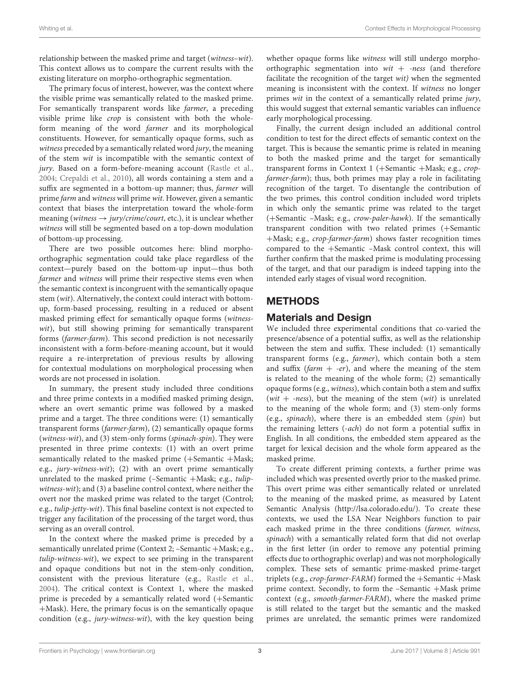relationship between the masked prime and target (witness–wit). This context allows us to compare the current results with the existing literature on morpho-orthographic segmentation.

The primary focus of interest, however, was the context where the visible prime was semantically related to the masked prime. For semantically transparent words like farmer, a preceding visible prime like crop is consistent with both the wholeform meaning of the word farmer and its morphological constituents. However, for semantically opaque forms, such as witness preceded by a semantically related word jury, the meaning of the stem wit is incompatible with the semantic context of jury. Based on a form-before-meaning account [\(Rastle et al.,](#page-9-0) [2004;](#page-9-0) [Crepaldi et al., 2010\)](#page-9-18), all words containing a stem and a suffix are segmented in a bottom-up manner; thus, farmer will prime farm and witness will prime wit. However, given a semantic context that biases the interpretation toward the whole-form meaning (witness  $\rightarrow$  jury/crime/court, etc.), it is unclear whether witness will still be segmented based on a top-down modulation of bottom-up processing.

There are two possible outcomes here: blind morphoorthographic segmentation could take place regardless of the context—purely based on the bottom-up input—thus both farmer and witness will prime their respective stems even when the semantic context is incongruent with the semantically opaque stem (wit). Alternatively, the context could interact with bottomup, form-based processing, resulting in a reduced or absent masked priming effect for semantically opaque forms (witnesswit), but still showing priming for semantically transparent forms (farmer-farm). This second prediction is not necessarily inconsistent with a form-before-meaning account, but it would require a re-interpretation of previous results by allowing for contextual modulations on morphological processing when words are not processed in isolation.

In summary, the present study included three conditions and three prime contexts in a modified masked priming design, where an overt semantic prime was followed by a masked prime and a target. The three conditions were: (1) semantically transparent forms (farmer-farm), (2) semantically opaque forms (witness-wit), and (3) stem-only forms (spinach-spin). They were presented in three prime contexts: (1) with an overt prime semantically related to the masked prime (+Semantic +Mask; e.g., jury-witness-wit); (2) with an overt prime semantically unrelated to the masked prime  $(-\text{Semantic +Mask}; e.g., tulip$ witness-wit); and (3) a baseline control context, where neither the overt nor the masked prime was related to the target (Control; e.g., tulip-jetty-wit). This final baseline context is not expected to trigger any facilitation of the processing of the target word, thus serving as an overall control.

In the context where the masked prime is preceded by a semantically unrelated prime (Context 2; -Semantic +Mask; e.g., tulip-witness-wit), we expect to see priming in the transparent and opaque conditions but not in the stem-only condition, consistent with the previous literature (e.g., [Rastle et al.,](#page-9-0) [2004\)](#page-9-0). The critical context is Context 1, where the masked prime is preceded by a semantically related word (+Semantic +Mask). Here, the primary focus is on the semantically opaque condition (e.g., jury-witness-wit), with the key question being whether opaque forms like witness will still undergo morphoorthographic segmentation into  $wit + -ness$  (and therefore facilitate the recognition of the target wit) when the segmented meaning is inconsistent with the context. If witness no longer primes wit in the context of a semantically related prime jury, this would suggest that external semantic variables can influence early morphological processing.

Finally, the current design included an additional control condition to test for the direct effects of semantic context on the target. This is because the semantic prime is related in meaning to both the masked prime and the target for semantically transparent forms in Context 1 (+Semantic +Mask; e.g., cropfarmer-farm); thus, both primes may play a role in facilitating recognition of the target. To disentangle the contribution of the two primes, this control condition included word triplets in which only the semantic prime was related to the target (+Semantic –Mask; e.g., crow-paler-hawk). If the semantically transparent condition with two related primes (+Semantic +Mask; e.g., crop-farmer-farm) shows faster recognition times compared to the +Semantic –Mask control context, this will further confirm that the masked prime is modulating processing of the target, and that our paradigm is indeed tapping into the intended early stages of visual word recognition.

## METHODS

## Materials and Design

We included three experimental conditions that co-varied the presence/absence of a potential suffix, as well as the relationship between the stem and suffix. These included: (1) semantically transparent forms (e.g., farmer), which contain both a stem and suffix (farm  $+$  -er), and where the meaning of the stem is related to the meaning of the whole form; (2) semantically opaque forms (e.g., witness), which contain both a stem and suffix (wit + -ness), but the meaning of the stem (wit) is unrelated to the meaning of the whole form; and (3) stem-only forms (e.g., spinach), where there is an embedded stem (spin) but the remaining letters (-ach) do not form a potential suffix in English. In all conditions, the embedded stem appeared as the target for lexical decision and the whole form appeared as the masked prime.

To create different priming contexts, a further prime was included which was presented overtly prior to the masked prime. This overt prime was either semantically related or unrelated to the meaning of the masked prime, as measured by Latent Semantic Analysis [\(http://lsa.colorado.edu/\)](http://lsa.colorado.edu/). To create these contexts, we used the LSA Near Neighbors function to pair each masked prime in the three conditions (farmer, witness, spinach) with a semantically related form that did not overlap in the first letter (in order to remove any potential priming effects due to orthographic overlap) and was not morphologically complex. These sets of semantic prime-masked prime-target triplets (e.g., crop-farmer-FARM) formed the +Semantic +Mask prime context. Secondly, to form the –Semantic +Mask prime context (e.g., smooth-farmer-FARM), where the masked prime is still related to the target but the semantic and the masked primes are unrelated, the semantic primes were randomized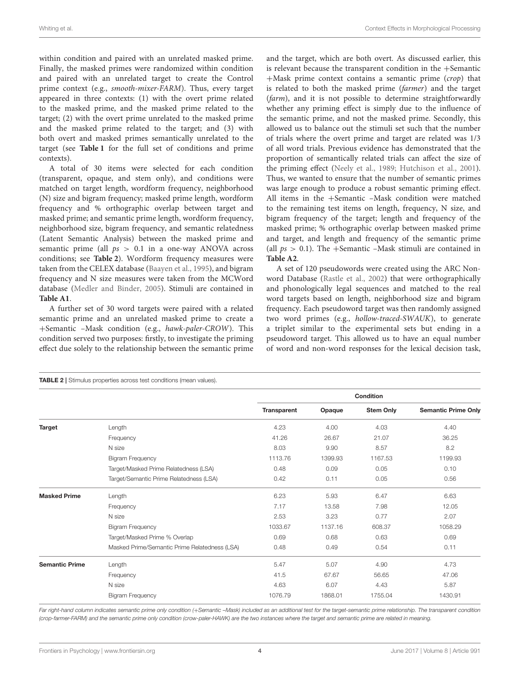within condition and paired with an unrelated masked prime. Finally, the masked primes were randomized within condition and paired with an unrelated target to create the Control prime context (e.g., smooth-mixer-FARM). Thus, every target appeared in three contexts: (1) with the overt prime related to the masked prime, and the masked prime related to the target; (2) with the overt prime unrelated to the masked prime and the masked prime related to the target; and (3) with both overt and masked primes semantically unrelated to the target (see **[Table 1](#page-1-0)** for the full set of conditions and prime contexts).

A total of 30 items were selected for each condition (transparent, opaque, and stem only), and conditions were matched on target length, wordform frequency, neighborhood (N) size and bigram frequency; masked prime length, wordform frequency and % orthographic overlap between target and masked prime; and semantic prime length, wordform frequency, neighborhood size, bigram frequency, and semantic relatedness (Latent Semantic Analysis) between the masked prime and semantic prime (all  $ps > 0.1$  in a one-way ANOVA across conditions; see **[Table 2](#page-3-0)**). Wordform frequency measures were taken from the CELEX database [\(Baayen et al., 1995\)](#page-9-19), and bigram frequency and N size measures were taken from the MCWord database [\(Medler and Binder, 2005\)](#page-9-20). Stimuli are contained in **[Table A1](#page-10-0)**.

A further set of 30 word targets were paired with a related semantic prime and an unrelated masked prime to create a +Semantic –Mask condition (e.g., hawk-paler-CROW). This condition served two purposes: firstly, to investigate the priming effect due solely to the relationship between the semantic prime and the target, which are both overt. As discussed earlier, this is relevant because the transparent condition in the +Semantic +Mask prime context contains a semantic prime (crop) that is related to both the masked prime (farmer) and the target (farm), and it is not possible to determine straightforwardly whether any priming effect is simply due to the influence of the semantic prime, and not the masked prime. Secondly, this allowed us to balance out the stimuli set such that the number of trials where the overt prime and target are related was 1/3 of all word trials. Previous evidence has demonstrated that the proportion of semantically related trials can affect the size of the priming effect [\(Neely et al., 1989;](#page-9-21) [Hutchison et al., 2001\)](#page-9-22). Thus, we wanted to ensure that the number of semantic primes was large enough to produce a robust semantic priming effect. All items in the +Semantic –Mask condition were matched to the remaining test items on length, frequency, N size, and bigram frequency of the target; length and frequency of the masked prime; % orthographic overlap between masked prime and target, and length and frequency of the semantic prime (all  $ps > 0.1$ ). The +Semantic –Mask stimuli are contained in **[Table A2](#page-11-0)**.

A set of 120 pseudowords were created using the ARC Nonword Database [\(Rastle et al., 2002\)](#page-9-23) that were orthographically and phonologically legal sequences and matched to the real word targets based on length, neighborhood size and bigram frequency. Each pseudoword target was then randomly assigned two word primes (e.g., hollow-traced-SWAUK), to generate a triplet similar to the experimental sets but ending in a pseudoword target. This allowed us to have an equal number of word and non-word responses for the lexical decision task,

<span id="page-3-0"></span>

|                       |                                               |                    |         | <b>Condition</b> |                            |
|-----------------------|-----------------------------------------------|--------------------|---------|------------------|----------------------------|
|                       |                                               | <b>Transparent</b> | Opaque  | <b>Stem Only</b> | <b>Semantic Prime Only</b> |
| <b>Target</b>         | Length                                        | 4.23               | 4.00    | 4.03             | 4.40                       |
|                       | Frequency                                     | 41.26              | 26.67   | 21.07            | 36.25                      |
|                       | N size                                        | 8.03               | 9.90    | 8.57             | 8.2                        |
|                       | <b>Bigram Frequency</b>                       | 1113.76            | 1399.93 | 1167.53          | 1199.93                    |
|                       | Target/Masked Prime Relatedness (LSA)         | 0.48               | 0.09    | 0.05             | 0.10                       |
|                       | Target/Semantic Prime Relatedness (LSA)       | 0.42               | 0.11    | 0.05             | 0.56                       |
| <b>Masked Prime</b>   | Length                                        | 6.23               | 5.93    | 6.47             | 6.63                       |
|                       | Frequency                                     | 7.17               | 13.58   | 7.98             | 12.05                      |
|                       | N size                                        | 2.53               | 3.23    | 0.77             | 2.07                       |
|                       | <b>Bigram Frequency</b>                       | 1033.67            | 1137.16 | 608.37           | 1058.29                    |
|                       | Target/Masked Prime % Overlap                 | 0.69               | 0.68    | 0.63             | 0.69                       |
|                       | Masked Prime/Semantic Prime Relatedness (LSA) | 0.48               | 0.49    | 0.54             | 0.11                       |
| <b>Semantic Prime</b> | Length                                        | 5.47               | 5.07    | 4.90             | 4.73                       |
|                       | Frequency                                     | 41.5               | 67.67   | 56.65            | 47.06                      |
|                       | N size                                        | 4.63               | 6.07    | 4.43             | 5.87                       |
|                       | <b>Bigram Frequency</b>                       | 1076.79            | 1868.01 | 1755.04          | 1430.91                    |

Far right-hand column indicates semantic prime only condition (+*Semantic -Mask) included as an additional test for the target-semantic prime relationship. The transparent condition (crop-farmer-FARM) and the semantic prime only condition (crow-paler-HAWK) are the two instances where the target and semantic prime are related in meaning.*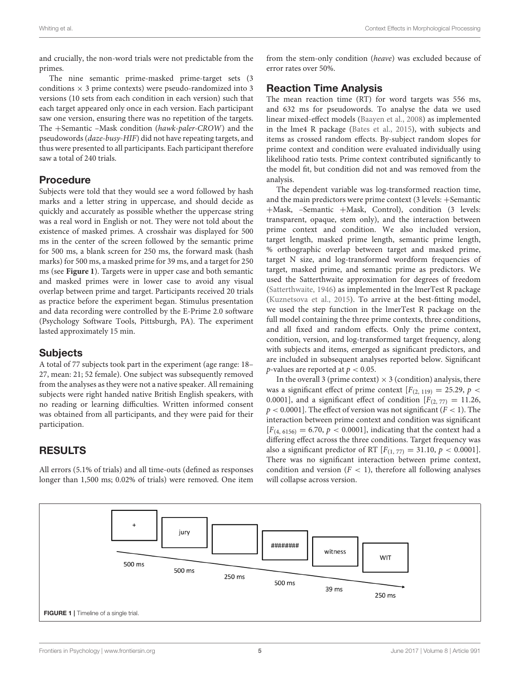and crucially, the non-word trials were not predictable from the primes.

The nine semantic prime-masked prime-target sets (3 conditions  $\times$  3 prime contexts) were pseudo-randomized into 3 versions (10 sets from each condition in each version) such that each target appeared only once in each version. Each participant saw one version, ensuring there was no repetition of the targets. The +Semantic –Mask condition (hawk-paler-CROW) and the pseudowords (daze-busy-HIF) did not have repeating targets, and thus were presented to all participants. Each participant therefore saw a total of 240 trials.

### Procedure

Subjects were told that they would see a word followed by hash marks and a letter string in uppercase, and should decide as quickly and accurately as possible whether the uppercase string was a real word in English or not. They were not told about the existence of masked primes. A crosshair was displayed for 500 ms in the center of the screen followed by the semantic prime for 500 ms, a blank screen for 250 ms, the forward mask (hash marks) for 500 ms, a masked prime for 39 ms, and a target for 250 ms (see **[Figure 1](#page-4-0)**). Targets were in upper case and both semantic and masked primes were in lower case to avoid any visual overlap between prime and target. Participants received 20 trials as practice before the experiment began. Stimulus presentation and data recording were controlled by the E-Prime 2.0 software (Psychology Software Tools, Pittsburgh, PA). The experiment lasted approximately 15 min.

#### **Subjects**

A total of 77 subjects took part in the experiment (age range: 18– 27, mean: 21; 52 female). One subject was subsequently removed from the analyses as they were not a native speaker. All remaining subjects were right handed native British English speakers, with no reading or learning difficulties. Written informed consent was obtained from all participants, and they were paid for their participation.

## RESULTS

All errors (5.1% of trials) and all time-outs (defined as responses longer than 1,500 ms; 0.02% of trials) were removed. One item from the stem-only condition (heave) was excluded because of error rates over 50%.

## Reaction Time Analysis

The mean reaction time (RT) for word targets was 556 ms, and 632 ms for pseudowords. To analyse the data we used linear mixed-effect models [\(Baayen et al., 2008\)](#page-9-24) as implemented in the lme4 R package [\(Bates et al., 2015\)](#page-9-25), with subjects and items as crossed random effects. By-subject random slopes for prime context and condition were evaluated individually using likelihood ratio tests. Prime context contributed significantly to the model fit, but condition did not and was removed from the analysis.

The dependent variable was log-transformed reaction time, and the main predictors were prime context (3 levels: +Semantic +Mask, –Semantic +Mask, Control), condition (3 levels: transparent, opaque, stem only), and the interaction between prime context and condition. We also included version, target length, masked prime length, semantic prime length, % orthographic overlap between target and masked prime, target N size, and log-transformed wordform frequencies of target, masked prime, and semantic prime as predictors. We used the Satterthwaite approximation for degrees of freedom [\(Satterthwaite, 1946\)](#page-9-26) as implemented in the lmerTest R package [\(Kuznetsova et al., 2015\)](#page-9-27). To arrive at the best-fitting model, we used the step function in the lmerTest R package on the full model containing the three prime contexts, three conditions, and all fixed and random effects. Only the prime context, condition, version, and log-transformed target frequency, along with subjects and items, emerged as significant predictors, and are included in subsequent analyses reported below. Significant *p*-values are reported at  $p < 0.05$ .

In the overall 3 (prime context)  $\times$  3 (condition) analysis, there was a significant effect of prime context  $[F(2, 119) = 25.29, p <$ 0.0001], and a significant effect of condition  $[F_{(2, 77)} = 11.26,$  $p < 0.0001$ ]. The effect of version was not significant ( $F < 1$ ). The interaction between prime context and condition was significant  $[F_{(4, 6156)} = 6.70, p < 0.0001]$ , indicating that the context had a differing effect across the three conditions. Target frequency was also a significant predictor of RT  $[F_{(1, 77)} = 31.10, p < 0.0001]$ . There was no significant interaction between prime context, condition and version  $(F < 1)$ , therefore all following analyses will collapse across version.

<span id="page-4-0"></span>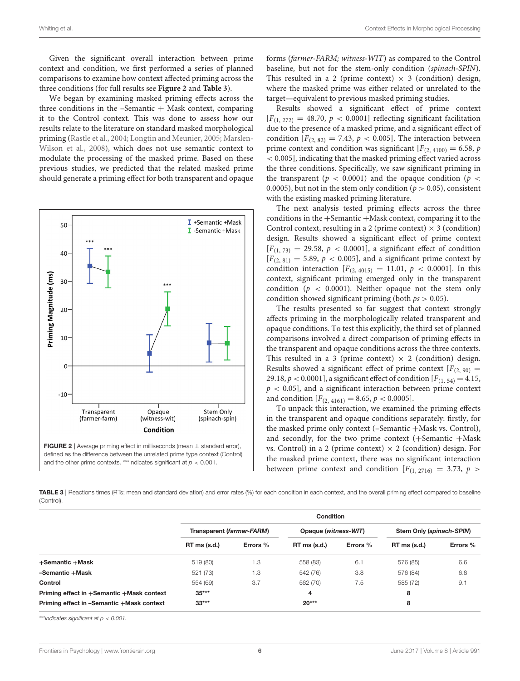Given the significant overall interaction between prime context and condition, we first performed a series of planned comparisons to examine how context affected priming across the three conditions (for full results see **[Figure 2](#page-5-0)** and **[Table 3](#page-5-1)**).

We began by examining masked priming effects across the three conditions in the  $-Semantic + Mask context$ , comparing it to the Control context. This was done to assess how our results relate to the literature on standard masked morphological priming [\(Rastle et al., 2004;](#page-9-0) [Longtin and Meunier, 2005;](#page-9-1) Marslen-Wilson et al., [2008\)](#page-9-2), which does not use semantic context to modulate the processing of the masked prime. Based on these previous studies, we predicted that the related masked prime should generate a priming effect for both transparent and opaque



forms (farmer-FARM; witness-WIT) as compared to the Control baseline, but not for the stem-only condition (spinach-SPIN). This resulted in a 2 (prime context)  $\times$  3 (condition) design, where the masked prime was either related or unrelated to the target—equivalent to previous masked priming studies.

Results showed a significant effect of prime context  $[F_{(1, 272)} = 48.70, p < 0.0001]$  reflecting significant facilitation due to the presence of a masked prime, and a significant effect of condition  $[F_{(2, 82)} = 7.43, p < 0.005]$ . The interaction between prime context and condition was significant  $[F_{(2, 4100)} = 6.58, p$ < 0.005], indicating that the masked priming effect varied across the three conditions. Specifically, we saw significant priming in the transparent ( $p < 0.0001$ ) and the opaque condition ( $p <$ 0.0005), but not in the stem only condition ( $p > 0.05$ ), consistent with the existing masked priming literature.

The next analysis tested priming effects across the three conditions in the +Semantic +Mask context, comparing it to the Control context, resulting in a 2 (prime context)  $\times$  3 (condition) design. Results showed a significant effect of prime context  $[F(1, 73) = 29.58, p < 0.0001]$ , a significant effect of condition  $[F<sub>(2, 81)</sub> = 5.89, p < 0.005]$ , and a significant prime context by condition interaction  $[F_{(2, 4015)} = 11.01, p < 0.0001]$ . In this context, significant priming emerged only in the transparent condition ( $p < 0.0001$ ). Neither opaque not the stem only condition showed significant priming (both  $ps > 0.05$ ).

The results presented so far suggest that context strongly affects priming in the morphologically related transparent and opaque conditions. To test this explicitly, the third set of planned comparisons involved a direct comparison of priming effects in the transparent and opaque conditions across the three contexts. This resulted in a 3 (prime context)  $\times$  2 (condition) design. Results showed a significant effect of prime context  $[F(2, 90) =$ 29.18,  $p < 0.0001$ ], a significant effect of condition  $[F_{(1, 54)} = 4.15,$  $p < 0.05$ ], and a significant interaction between prime context and condition  $[F_{(2, 4161)} = 8.65, p < 0.0005]$ .

To unpack this interaction, we examined the priming effects in the transparent and opaque conditions separately: firstly, for the masked prime only context (–Semantic +Mask vs. Control), and secondly, for the two prime context (+Semantic +Mask vs. Control) in a 2 (prime context)  $\times$  2 (condition) design. For the masked prime context, there was no significant interaction between prime context and condition  $[F(1, 2716) = 3.73, p >$ 

<span id="page-5-1"></span><span id="page-5-0"></span>TABLE 3 | Reactions times (RTs; mean and standard deviation) and error rates (%) for each condition in each context, and the overall priming effect compared to baseline (Control).

|                                           | <b>Condition</b>          |          |                      |          |                          |          |
|-------------------------------------------|---------------------------|----------|----------------------|----------|--------------------------|----------|
|                                           | Transparent (farmer-FARM) |          | Opaque (witness-WIT) |          | Stem Only (spinach-SPIN) |          |
|                                           | $RT$ ms $(s.d.)$          | Errors % | $RT$ ms $(s.d.)$     | Errors % | $RT$ ms (s.d.)           | Errors % |
| +Semantic +Mask                           | 519 (80)                  | 1.3      | 558 (83)             | 6.1      | 576 (85)                 | 6.6      |
| -Semantic +Mask                           | 521 (73)                  | 1.3      | 542 (76)             | 3.8      | 576 (84)                 | 6.8      |
| Control                                   | 554 (69)                  | 3.7      | 562 (70)             | 7.5      | 585 (72)                 | 9.1      |
| Priming effect in +Semantic +Mask context | $35***$                   |          | 4                    |          | 8                        |          |
| Priming effect in -Semantic +Mask context | $33***$                   |          | $20***$              |          | 8                        |          |

\*\*\**Indicates significant at p* < *0.001.*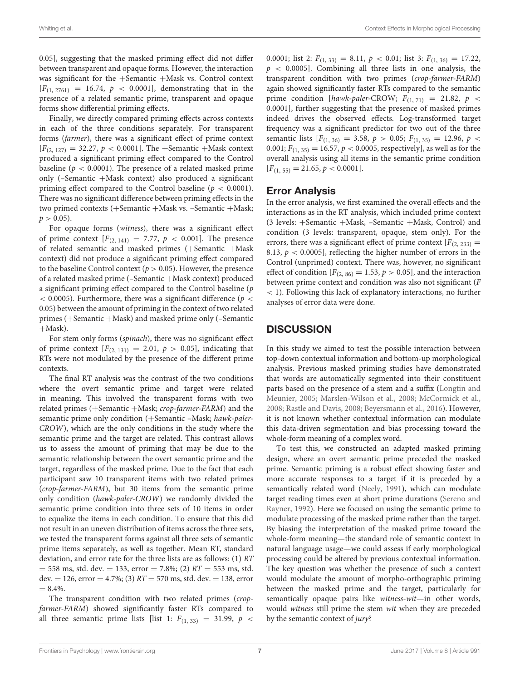0.05], suggesting that the masked priming effect did not differ between transparent and opaque forms. However, the interaction was significant for the +Semantic +Mask vs. Control context  $[F(1, 2761) = 16.74, p < 0.0001]$ , demonstrating that in the presence of a related semantic prime, transparent and opaque forms show differential priming effects.

Finally, we directly compared priming effects across contexts in each of the three conditions separately. For transparent forms (farmer), there was a significant effect of prime context  $[F_{(2, 127)} = 32.27, p < 0.0001]$ . The +Semantic +Mask context produced a significant priming effect compared to the Control baseline ( $p < 0.0001$ ). The presence of a related masked prime only (–Semantic +Mask context) also produced a significant priming effect compared to the Control baseline ( $p < 0.0001$ ). There was no significant difference between priming effects in the two primed contexts (+Semantic +Mask vs. –Semantic +Mask;  $p > 0.05$ ).

For opaque forms (witness), there was a significant effect of prime context  $[F_{(2, 141)} = 7.77, p < 0.001]$ . The presence of related semantic and masked primes (+Semantic +Mask context) did not produce a significant priming effect compared to the baseline Control context ( $p > 0.05$ ). However, the presence of a related masked prime (–Semantic +Mask context) produced a significant priming effect compared to the Control baseline (p  $<$  0.0005). Furthermore, there was a significant difference ( $p <$ 0.05) between the amount of priming in the context of two related primes (+Semantic +Mask) and masked prime only (–Semantic +Mask).

For stem only forms (spinach), there was no significant effect of prime context  $[F_{(2, 131)} = 2.01, p > 0.05]$ , indicating that RTs were not modulated by the presence of the different prime contexts.

The final RT analysis was the contrast of the two conditions where the overt semantic prime and target were related in meaning. This involved the transparent forms with two related primes (+Semantic +Mask; crop-farmer-FARM) and the semantic prime only condition (+Semantic –Mask; hawk-paler-CROW), which are the only conditions in the study where the semantic prime and the target are related. This contrast allows us to assess the amount of priming that may be due to the semantic relationship between the overt semantic prime and the target, regardless of the masked prime. Due to the fact that each participant saw 10 transparent items with two related primes (crop-farmer-FARM), but 30 items from the semantic prime only condition (hawk-paler-CROW) we randomly divided the semantic prime condition into three sets of 10 items in order to equalize the items in each condition. To ensure that this did not result in an uneven distribution of items across the three sets, we tested the transparent forms against all three sets of semantic prime items separately, as well as together. Mean RT, standard deviation, and error rate for the three lists are as follows: (1) RT  $= 558$  ms, std. dev.  $= 133$ , error  $= 7.8\%$ ; (2)  $RT = 553$  ms, std. dev. = 126, error = 4.7%; (3)  $RT = 570$  ms, std. dev. = 138, error  $= 8.4\%$ .

The transparent condition with two related primes (cropfarmer-FARM) showed significantly faster RTs compared to all three semantic prime lists [list 1:  $F_{(1, 33)} = 31.99$ ,  $p <$  0.0001; list 2:  $F_{(1, 33)} = 8.11, p < 0.01$ ; list 3:  $F_{(1, 36)} = 17.22$ ,  $p \sim 0.0005$ . Combining all three lists in one analysis, the transparent condition with two primes (crop-farmer-FARM) again showed significantly faster RTs compared to the semantic prime condition [hawk-paler-CROW;  $F_{(1, 71)} = 21.82$ ,  $p \le$ 0.0001], further suggesting that the presence of masked primes indeed drives the observed effects. Log-transformed target frequency was a significant predictor for two out of the three semantic lists  $[F_{(1, 36)} = 3.58, p > 0.05; F_{(1, 35)} = 12.96, p <$ 0.001;  $F_{(1, 35)} = 16.57$ ,  $p < 0.0005$ , respectively], as well as for the overall analysis using all items in the semantic prime condition  $[F_{(1, 55)} = 21.65, p < 0.0001].$ 

### Error Analysis

In the error analysis, we first examined the overall effects and the interactions as in the RT analysis, which included prime context (3 levels: +Semantic +Mask, –Semantic +Mask, Control) and condition (3 levels: transparent, opaque, stem only). For the errors, there was a significant effect of prime context  $[F_{(2, 233)}]$ 8.13,  $p < 0.0005$ , reflecting the higher number of errors in the Control (unprimed) context. There was, however, no significant effect of condition  $[F_{(2, 86)} = 1.53, p > 0.05]$ , and the interaction between prime context and condition was also not significant (F < 1). Following this lack of explanatory interactions, no further analyses of error data were done.

## **DISCUSSION**

In this study we aimed to test the possible interaction between top-down contextual information and bottom-up morphological analysis. Previous masked priming studies have demonstrated that words are automatically segmented into their constituent parts based on the presence of a stem and a suffix (Longtin and Meunier, [2005;](#page-9-1) [Marslen-Wilson et al., 2008;](#page-9-2) [McCormick et al.,](#page-9-3) [2008;](#page-9-3) [Rastle and Davis, 2008;](#page-9-4) [Beyersmann et al., 2016\)](#page-9-8). However, it is not known whether contextual information can modulate this data-driven segmentation and bias processing toward the whole-form meaning of a complex word.

To test this, we constructed an adapted masked priming design, where an overt semantic prime preceded the masked prime. Semantic priming is a robust effect showing faster and more accurate responses to a target if it is preceded by a semantically related word [\(Neely, 1991\)](#page-9-28), which can modulate target reading times even at short prime durations (Sereno and Rayner, [1992\)](#page-9-29). Here we focused on using the semantic prime to modulate processing of the masked prime rather than the target. By biasing the interpretation of the masked prime toward the whole-form meaning—the standard role of semantic context in natural language usage—we could assess if early morphological processing could be altered by previous contextual information. The key question was whether the presence of such a context would modulate the amount of morpho-orthographic priming between the masked prime and the target, particularly for semantically opaque pairs like witness-wit-in other words, would witness still prime the stem wit when they are preceded by the semantic context of jury?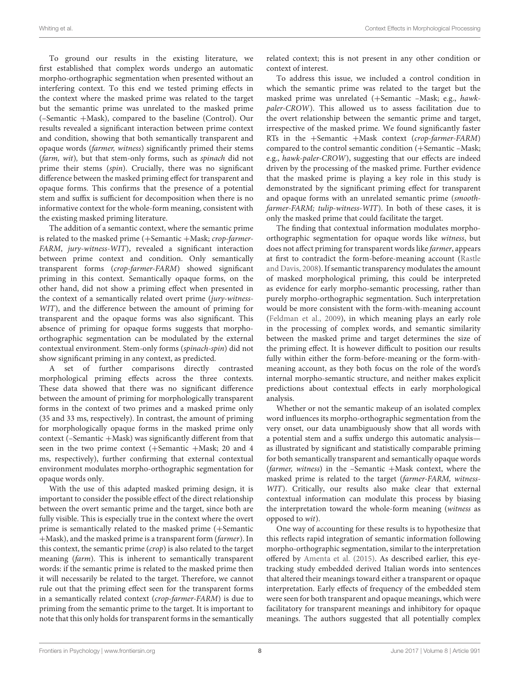To ground our results in the existing literature, we first established that complex words undergo an automatic morpho-orthographic segmentation when presented without an interfering context. To this end we tested priming effects in the context where the masked prime was related to the target but the semantic prime was unrelated to the masked prime (–Semantic +Mask), compared to the baseline (Control). Our results revealed a significant interaction between prime context and condition, showing that both semantically transparent and opaque words (farmer, witness) significantly primed their stems (farm, wit), but that stem-only forms, such as spinach did not prime their stems (spin). Crucially, there was no significant difference between the masked priming effect for transparent and opaque forms. This confirms that the presence of a potential stem and suffix is sufficient for decomposition when there is no informative context for the whole-form meaning, consistent with the existing masked priming literature.

The addition of a semantic context, where the semantic prime is related to the masked prime (+Semantic +Mask; crop-farmer-FARM, jury-witness-WIT), revealed a significant interaction between prime context and condition. Only semantically transparent forms (crop-farmer-FARM) showed significant priming in this context. Semantically opaque forms, on the other hand, did not show a priming effect when presented in the context of a semantically related overt prime (jury-witness-WIT), and the difference between the amount of priming for transparent and the opaque forms was also significant. This absence of priming for opaque forms suggests that morphoorthographic segmentation can be modulated by the external contextual environment. Stem-only forms (spinach-spin) did not show significant priming in any context, as predicted.

A set of further comparisons directly contrasted morphological priming effects across the three contexts. These data showed that there was no significant difference between the amount of priming for morphologically transparent forms in the context of two primes and a masked prime only (35 and 33 ms, respectively). In contrast, the amount of priming for morphologically opaque forms in the masked prime only context (–Semantic +Mask) was significantly different from that seen in the two prime context (+Semantic +Mask; 20 and 4 ms, respectively), further confirming that external contextual environment modulates morpho-orthographic segmentation for opaque words only.

With the use of this adapted masked priming design, it is important to consider the possible effect of the direct relationship between the overt semantic prime and the target, since both are fully visible. This is especially true in the context where the overt prime is semantically related to the masked prime (+Semantic +Mask), and the masked prime is a transparent form (farmer). In this context, the semantic prime (crop) is also related to the target meaning (farm). This is inherent to semantically transparent words: if the semantic prime is related to the masked prime then it will necessarily be related to the target. Therefore, we cannot rule out that the priming effect seen for the transparent forms in a semantically related context (crop-farmer-FARM) is due to priming from the semantic prime to the target. It is important to note that this only holds for transparent forms in the semantically related context; this is not present in any other condition or context of interest.

To address this issue, we included a control condition in which the semantic prime was related to the target but the masked prime was unrelated (+Semantic –Mask; e.g., hawkpaler-CROW). This allowed us to assess facilitation due to the overt relationship between the semantic prime and target, irrespective of the masked prime. We found significantly faster RTs in the +Semantic +Mask context (crop-farmer-FARM) compared to the control semantic condition (+Semantic –Mask; e.g., hawk-paler-CROW), suggesting that our effects are indeed driven by the processing of the masked prime. Further evidence that the masked prime is playing a key role in this study is demonstrated by the significant priming effect for transparent and opaque forms with an unrelated semantic prime (smoothfarmer-FARM; tulip-witness-WIT). In both of these cases, it is only the masked prime that could facilitate the target.

The finding that contextual information modulates morphoorthographic segmentation for opaque words like witness, but does not affect priming for transparent words like farmer, appears at first to contradict the form-before-meaning account (Rastle and Davis, [2008\)](#page-9-4). If semantic transparency modulates the amount of masked morphological priming, this could be interpreted as evidence for early morpho-semantic processing, rather than purely morpho-orthographic segmentation. Such interpretation would be more consistent with the form-with-meaning account [\(Feldman et al., 2009\)](#page-9-10), in which meaning plays an early role in the processing of complex words, and semantic similarity between the masked prime and target determines the size of the priming effect. It is however difficult to position our results fully within either the form-before-meaning or the form-withmeaning account, as they both focus on the role of the word's internal morpho-semantic structure, and neither makes explicit predictions about contextual effects in early morphological analysis.

Whether or not the semantic makeup of an isolated complex word influences its morpho-orthographic segmentation from the very onset, our data unambiguously show that all words with a potential stem and a suffix undergo this automatic analysis as illustrated by significant and statistically comparable priming for both semantically transparent and semantically opaque words (farmer, witness) in the –Semantic +Mask context, where the masked prime is related to the target (farmer-FARM, witness-WIT). Critically, our results also make clear that external contextual information can modulate this process by biasing the interpretation toward the whole-form meaning (witness as opposed to wit).

One way of accounting for these results is to hypothesize that this reflects rapid integration of semantic information following morpho-orthographic segmentation, similar to the interpretation offered by [Amenta et al. \(2015\)](#page-9-16). As described earlier, this eyetracking study embedded derived Italian words into sentences that altered their meanings toward either a transparent or opaque interpretation. Early effects of frequency of the embedded stem were seen for both transparent and opaque meanings, which were facilitatory for transparent meanings and inhibitory for opaque meanings. The authors suggested that all potentially complex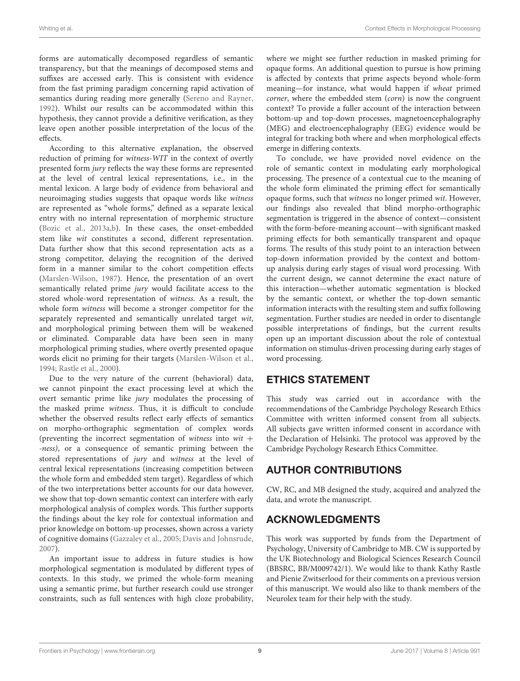forms are automatically decomposed regardless of semantic transparency, but that the meanings of decomposed stems and suffixes are accessed early. This is consistent with evidence from the fast priming paradigm concerning rapid activation of semantics during reading more generally [\(Sereno and Rayner,](#page-9-29) [1992\)](#page-9-29). Whilst our results can be accommodated within this hypothesis, they cannot provide a definitive verification, as they leave open another possible interpretation of the locus of the effects.

According to this alternative explanation, the observed reduction of priming for witness-WIT in the context of overtly presented form jury reflects the way these forms are represented at the level of central lexical representations, i.e., in the mental lexicon. A large body of evidence from behavioral and neuroimaging studies suggests that opaque words like witness are represented as "whole forms," defined as a separate lexical entry with no internal representation of morphemic structure [\(Bozic et al., 2013a,](#page-9-30)[b\)](#page-9-31). In these cases, the onset-embedded stem like wit constitutes a second, different representation. Data further show that this second representation acts as a strong competitor, delaying the recognition of the derived form in a manner similar to the cohort competition effects [\(Marslen-Wilson, 1987\)](#page-9-32). Hence, the presentation of an overt semantically related prime jury would facilitate access to the stored whole-word representation of witness. As a result, the whole form witness will become a stronger competitor for the separately represented and semantically unrelated target wit, and morphological priming between them will be weakened or eliminated. Comparable data have been seen in many morphological priming studies, where overtly presented opaque words elicit no priming for their targets [\(Marslen-Wilson et al.,](#page-9-5) [1994;](#page-9-5) [Rastle et al., 2000\)](#page-9-6).

Due to the very nature of the current (behavioral) data, we cannot pinpoint the exact processing level at which the overt semantic prime like jury modulates the processing of the masked prime witness. Thus, it is difficult to conclude whether the observed results reflect early effects of semantics on morpho-orthographic segmentation of complex words (preventing the incorrect segmentation of witness into  $wit +$ -ness), or a consequence of semantic priming between the stored representations of jury and witness at the level of central lexical representations (increasing competition between the whole form and embedded stem target). Regardless of which of the two interpretations better accounts for our data however, we show that top-down semantic context can interfere with early morphological analysis of complex words. This further supports the findings about the key role for contextual information and prior knowledge on bottom-up processes, shown across a variety of cognitive domains [\(Gazzaley et al., 2005;](#page-9-13) [Davis and Johnsrude,](#page-9-12) [2007\)](#page-9-12).

An important issue to address in future studies is how morphological segmentation is modulated by different types of contexts. In this study, we primed the whole-form meaning using a semantic prime, but further research could use stronger constraints, such as full sentences with high cloze probability, where we might see further reduction in masked priming for opaque forms. An additional question to pursue is how priming is affected by contexts that prime aspects beyond whole-form meaning—for instance, what would happen if wheat primed corner, where the embedded stem (corn) is now the congruent context? To provide a fuller account of the interaction between bottom-up and top-down processes, magnetoencephalography (MEG) and electroencephalography (EEG) evidence would be integral for tracking both where and when morphological effects emerge in differing contexts.

To conclude, we have provided novel evidence on the role of semantic context in modulating early morphological processing. The presence of a contextual cue to the meaning of the whole form eliminated the priming effect for semantically opaque forms, such that witness no longer primed wit. However, our findings also revealed that blind morpho-orthographic segmentation is triggered in the absence of context—consistent with the form-before-meaning account—with significant masked priming effects for both semantically transparent and opaque forms. The results of this study point to an interaction between top-down information provided by the context and bottomup analysis during early stages of visual word processing. With the current design, we cannot determine the exact nature of this interaction—whether automatic segmentation is blocked by the semantic context, or whether the top-down semantic information interacts with the resulting stem and suffix following segmentation. Further studies are needed in order to disentangle possible interpretations of findings, but the current results open up an important discussion about the role of contextual information on stimulus-driven processing during early stages of word processing.

## ETHICS STATEMENT

This study was carried out in accordance with the recommendations of the Cambridge Psychology Research Ethics Committee with written informed consent from all subjects. All subjects gave written informed consent in accordance with the Declaration of Helsinki. The protocol was approved by the Cambridge Psychology Research Ethics Committee.

# AUTHOR CONTRIBUTIONS

CW, RC, and MB designed the study, acquired and analyzed the data, and wrote the manuscript.

# ACKNOWLEDGMENTS

This work was supported by funds from the Department of Psychology, University of Cambridge to MB. CW is supported by the UK Biotechnology and Biological Sciences Research Council (BBSRC, BB/M009742/1). We would like to thank Kathy Rastle and Pienie Zwitserlood for their comments on a previous version of this manuscript. We would also like to thank members of the Neurolex team for their help with the study.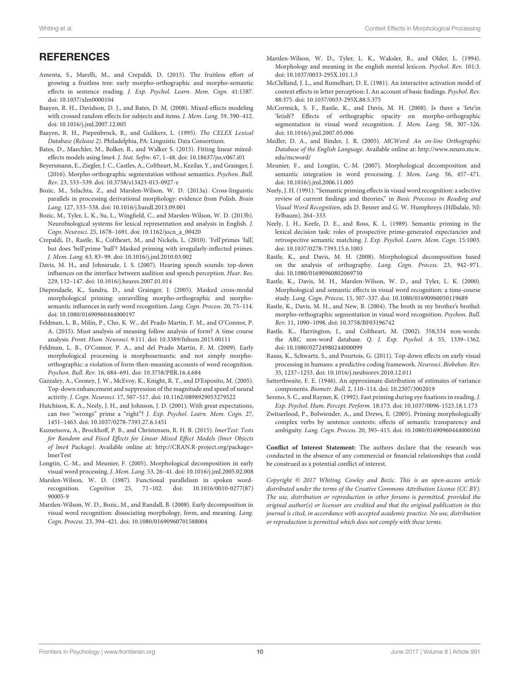## **REFERENCES**

- <span id="page-9-16"></span>Amenta, S., Marelli, M., and Crepaldi, D. (2015). The fruitless effort of growing a fruitless tree: early morpho-orthographic and morpho-semantic effects in sentence reading. J. Exp. Psychol. Learn. Mem. Cogn. 41:1587. doi: [10.1037/xlm0000104](https://doi.org/10.1037/xlm0000104)
- <span id="page-9-24"></span>Baayen, R. H., Davidson, D. J., and Bates, D. M. (2008). Mixed-effects modeling with crossed random effects for subjects and items. J. Mem. Lang. 59, 390–412. doi: [10.1016/j.jml.2007.12.005](https://doi.org/10.1016/j.jml.2007.12.005)
- <span id="page-9-19"></span>Baayen, R. H., Piepenbrock, R., and Gulikers, L. (1995). The CELEX Lexical Database (Release 2). Philadelphia, PA: Linguistic Data Consortium.
- <span id="page-9-25"></span>Bates, D., Maechler, M., Bolker, B., and Walker S. (2015). Fitting linear mixedeffects models using lme4. J. Stat. Softw. 67, 1–48. doi: [10.18637/jss.v067.i01](https://doi.org/10.18637/jss.v067.i01)
- <span id="page-9-8"></span>Beyersmann, E., Ziegler, J. C., Castles, A., Coltheart, M., Kezilas, Y., and Grainger, J. (2016). Morpho-orthographic segmentation without semantics. Psychon. Bull. Rev. 23, 533–539. doi: [10.3758/s13423-015-0927-z](https://doi.org/10.3758/s13423-015-0927-z)
- <span id="page-9-30"></span>Bozic, M., Szlachta, Z., and Marslen-Wilson, W. D. (2013a). Cross-linguistic parallels in processing derivational morphology: evidence from Polish. Brain Lang. 127, 533–538. doi: [10.1016/j.bandl.2013.09.001](https://doi.org/10.1016/j.bandl.2013.09.001)
- <span id="page-9-31"></span>Bozic, M., Tyler, L. K., Su, L., Wingfield, C., and Marslen-Wilson, W. D. (2013b). Neurobiological systems for lexical representation and analysis in English. J. Cogn. Neurosci. 25, 1678–1691. doi: [10.1162/jocn\\_a\\_00420](https://doi.org/10.1162/jocn_a_00420)
- <span id="page-9-18"></span>Crepaldi, D., Rastle, K., Coltheart, M., and Nickels, L. (2010). 'Fell'primes 'fall', but does 'bell'prime 'ball'? Masked priming with irregularly-inflected primes. J. Mem. Lang. 63, 83–99. doi: [10.1016/j.jml.2010.03.002](https://doi.org/10.1016/j.jml.2010.03.002)
- <span id="page-9-12"></span>Davis, M. H., and Johnsrude, I. S. (2007). Hearing speech sounds: top-down influences on the interface between audition and speech perception. Hear. Res. 229, 132–147. doi: [10.1016/j.heares.2007.01.014](https://doi.org/10.1016/j.heares.2007.01.014)
- <span id="page-9-9"></span>Diependaele, K., Sandra, D., and Grainger, J. (2005). Masked cross-modal morphological priming: unravelling morpho-orthographic and morphosemantic influences in early word recognition. Lang. Cogn. Process. 20, 75–114. doi: [10.1080/01690960444000197](https://doi.org/10.1080/01690960444000197)
- <span id="page-9-11"></span>Feldman, L. B., Milin, P., Cho, K. W., del Prado Martín, F. M., and O'Connor, P. A. (2015). Must analysis of meaning follow analysis of form? A time course analysis. Front. Hum. Neurosci. 9:111. doi: [10.3389/fnhum.2015.00111](https://doi.org/10.3389/fnhum.2015.00111)
- <span id="page-9-10"></span>Feldman, L. B., O'Connor, P. A., and del Prado Martín, F. M. (2009). Early morphological processing is morphosemantic and not simply morphoorthographic: a violation of form-then-meaning accounts of word recognition. Psychon. Bull. Rev. 16, 684–691. doi: [10.3758/PBR.16.4.684](https://doi.org/10.3758/PBR.16.4.684)
- <span id="page-9-13"></span>Gazzaley, A., Cooney, J. W., McEvoy, K., Knight, R. T., and D'Esposito, M. (2005). Top-down enhancement and suppression of the magnitude and speed of neural activity. J. Cogn. Neurosci. 17, 507–517. doi: [10.1162/0898929053279522](https://doi.org/10.1162/0898929053279522)
- <span id="page-9-22"></span>Hutchison, K. A., Neely, J. H., and Johnson, J. D. (2001). With great expectations, can two "wrongs" prime a "right"? J. Exp. Psychol. Learn. Mem. Cogn. 27, 1451–1463. doi: [10.1037/0278-7393.27.6.1451](https://doi.org/10.1037/0278-7393.27.6.1451)
- <span id="page-9-27"></span>Kuznetsova, A., Brockhoff, P. B., and Christensen, R. H. B. (2015). lmerTest: Tests for Random and Fixed Effects for Linear Mixed Effect Models (lmer Objects of lme4 Package). Available online at: [http://CRAN.R-project.org/package=](http://CRAN.R-project.org/package=lmerTest) [lmerTest](http://CRAN.R-project.org/package=lmerTest)
- <span id="page-9-1"></span>Longtin, C.-M., and Meunier, F. (2005). Morphological decomposition in early visual word processing. J. Mem. Lang. 53, 26–41. doi: [10.1016/j.jml.2005.02.008](https://doi.org/10.1016/j.jml.2005.02.008)
- <span id="page-9-32"></span>Marslen-Wilson, W. D. (1987). Functional parallelism in spoken wordrecognition. Cognition [25, 71–102. doi: 10.1016/0010-0277\(87\)](https://doi.org/10.1016/0010-0277(87)90005-9) 90005-9
- <span id="page-9-2"></span>Marslen-Wilson, W. D., Bozic, M., and Randall, B. (2008). Early decomposition in visual word recognition: dissociating morphology, form, and meaning. Lang. Cogn. Process. 23, 394–421. doi: [10.1080/01690960701588004](https://doi.org/10.1080/01690960701588004)
- <span id="page-9-5"></span>Marslen-Wilson, W. D., Tyler, L. K., Waksler, R., and Older, L. (1994). Morphology and meaning in the english mental lexicon. Psychol. Rev. 101:3. doi: [10.1037/0033-295X.101.1.3](https://doi.org/10.1037/0033-295X.101.1.3)
- <span id="page-9-15"></span>McClelland, J. L., and Rumelhart, D. E. (1981). An interactive activation model of context effects in letter perception: I. An account of basic findings. Psychol. Rev. 88:375. doi: [10.1037/0033-295X.88.5.375](https://doi.org/10.1037/0033-295X.88.5.375)
- <span id="page-9-3"></span>McCormick, S. F., Rastle, K., and Davis, M. H. (2008). Is there a 'fete'in 'fetish'? Effects of orthographic opacity on morpho-orthographic segmentation in visual word recognition. J. Mem. Lang. 58, 307–326. doi: [10.1016/j.jml.2007.05.006](https://doi.org/10.1016/j.jml.2007.05.006)
- <span id="page-9-20"></span>Medler, D. A., and Binder, J. R. (2005). MCWord: An on-line Orthographic Database of the English Language. Available online at: [http://www.neuro.mcw.](http://www.neuro.mcw.edu/mcword/) [edu/mcword/](http://www.neuro.mcw.edu/mcword/)
- <span id="page-9-7"></span>Meunier, F., and Longtin, C.-M. (2007). Morphological decomposition and semantic integration in word processing. J. Mem. Lang. 56, 457–471. doi: [10.1016/j.jml.2006.11.005](https://doi.org/10.1016/j.jml.2006.11.005)
- <span id="page-9-28"></span>Neely, J. H. (1991). "Semantic priming effects in visual word recognition: a selective review of current findings and theories," in Basic Processes in Reading and Visual Word Recognition, eds D. Besner and G. W. Humphreys (Hillsdale, NJ: Erlbaum), 264–333.
- <span id="page-9-21"></span>Neely, J. H., Keefe, D. E., and Ross, K. L. (1989). Semantic priming in the lexical decision task: roles of prospective prime-generated expectancies and retrospective semantic matching. J. Exp. Psychol. Learn. Mem. Cogn. 15:1003. doi: [10.1037/0278-7393.15.6.1003](https://doi.org/10.1037/0278-7393.15.6.1003)
- <span id="page-9-4"></span>Rastle, K., and Davis, M. H. (2008). Morphological decomposition based on the analysis of orthography. Lang. Cogn. Process. 23, 942–971. doi: [10.1080/01690960802069730](https://doi.org/10.1080/01690960802069730)
- <span id="page-9-6"></span>Rastle, K., Davis, M. H., Marslen-Wilson, W. D., and Tyler, L. K. (2000). Morphological and semantic effects in visual word recognition: a time-course study. Lang. Cogn. Process. 15, 507–537. doi: [10.1080/01690960050119689](https://doi.org/10.1080/01690960050119689)
- <span id="page-9-0"></span>Rastle, K., Davis, M. H., and New, B. (2004). The broth in my brother's brothel: morpho-orthographic segmentation in visual word recognition. Psychon. Bull. Rev. 11, 1090–1098. doi: [10.3758/BF03196742](https://doi.org/10.3758/BF03196742)
- <span id="page-9-23"></span>Rastle, K., Harrington, J., and Coltheart, M. (2002). 358,534 non-words: the ARC non-word database. Q. J. Exp. Psychol. A 55, 1339–1362. doi: [10.1080/02724980244000099](https://doi.org/10.1080/02724980244000099)
- <span id="page-9-14"></span>Rauss, K., Schwartz, S., and Pourtois, G. (2011). Top-down effects on early visual processing in humans: a predictive coding framework. Neurosci. Biobehav. Rev. 35, 1237–1253. doi: [10.1016/j.neubiorev.2010.12.011](https://doi.org/10.1016/j.neubiorev.2010.12.011)
- <span id="page-9-26"></span>Satterthwaite, F. E. (1946). An approximate distribution of estimates of variance components. Biometr. Bull. 2, 110–114. doi: [10.2307/3002019](https://doi.org/10.2307/3002019)
- <span id="page-9-29"></span>Sereno, S. C., and Rayner, K. (1992). Fast priming during eye fixations in reading. J. Exp. Psychol. Hum. Percept. Perform. 18:173. doi: [10.1037/0096-1523.18.1.173](https://doi.org/10.1037/0096-1523.18.1.173)
- <span id="page-9-17"></span>Zwitserlood, P., Bolwiender, A., and Drews, E. (2005). Priming morphologically complex verbs by sentence contexts: effects of semantic transparency and ambiguity. Lang. Cogn. Process. 20, 395–415. doi: [10.1080/01690960444000160](https://doi.org/10.1080/01690960444000160)

**Conflict of Interest Statement:** The authors declare that the research was conducted in the absence of any commercial or financial relationships that could be construed as a potential conflict of interest.

Copyright © 2017 Whiting, Cowley and Bozic. This is an open-access article distributed under the terms of the [Creative Commons Attribution License \(CC BY\).](http://creativecommons.org/licenses/by/4.0/) The use, distribution or reproduction in other forums is permitted, provided the original author(s) or licensor are credited and that the original publication in this journal is cited, in accordance with accepted academic practice. No use, distribution or reproduction is permitted which does not comply with these terms.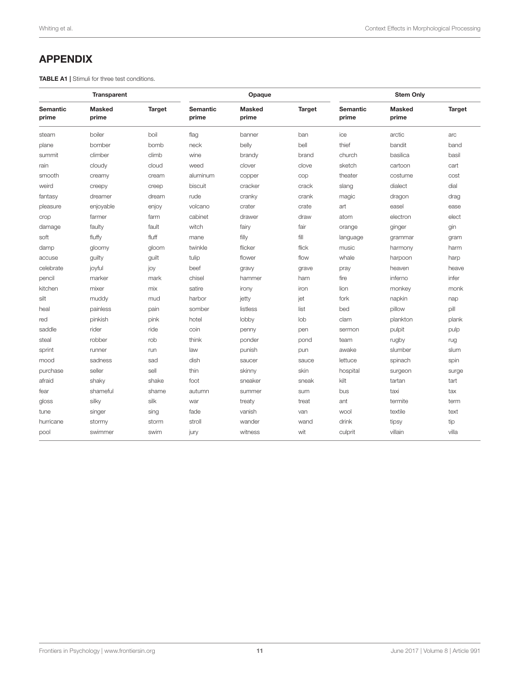# <span id="page-10-0"></span>APPENDIX

TABLE A1 | Stimuli for three test conditions.

| Transparent              |                        |               | Opaque                   |                        |               | <b>Stem Only</b>         |                        |               |
|--------------------------|------------------------|---------------|--------------------------|------------------------|---------------|--------------------------|------------------------|---------------|
| <b>Semantic</b><br>prime | <b>Masked</b><br>prime | <b>Target</b> | <b>Semantic</b><br>prime | <b>Masked</b><br>prime | <b>Target</b> | <b>Semantic</b><br>prime | <b>Masked</b><br>prime | <b>Target</b> |
| steam                    | boiler                 | boil          | flag                     | banner                 | ban           | ice                      | arctic                 | arc           |
| plane                    | bomber                 | bomb          | neck                     | belly                  | bell          | thief                    | bandit                 | band          |
| summit                   | climber                | climb         | wine                     | brandy                 | brand         | church                   | basilica               | basil         |
| rain                     | cloudy                 | cloud         | weed                     | clover                 | clove         | sketch                   | cartoon                | cart          |
| smooth                   | creamy                 | cream         | aluminum                 | copper                 | cop           | theater                  | costume                | cost          |
| weird                    | creepy                 | creep         | biscuit                  | cracker                | crack         | slang                    | dialect                | dial          |
| fantasy                  | dreamer                | dream         | rude                     | cranky                 | crank         | magic                    | dragon                 | drag          |
| pleasure                 | enjoyable              | enjoy         | volcano                  | crater                 | crate         | art                      | easel                  | ease          |
| crop                     | farmer                 | farm          | cabinet                  | drawer                 | draw          | atom                     | electron               | elect         |
| damage                   | faulty                 | fault         | witch                    | fairy                  | fair          | orange                   | ginger                 | qin           |
| soft                     | fluffy                 | fluff         | mane                     | filly                  | fill          | language                 | grammar                | gram          |
| damp                     | gloomy                 | gloom         | twinkle                  | flicker                | flick         | music                    | harmony                | harm          |
| accuse                   | guilty                 | guilt         | tulip                    | flower                 | flow          | whale                    | harpoon                | harp          |
| celebrate                | joyful                 | joy           | beef                     | gravy                  | grave         | pray                     | heaven                 | heave         |
| pencil                   | marker                 | mark          | chisel                   | hammer                 | ham           | fire                     | inferno                | infer         |
| kitchen                  | mixer                  | mix           | satire                   | irony                  | iron          | lion                     | monkey                 | monk          |
| silt                     | muddy                  | mud           | harbor                   | jetty                  | jet           | fork                     | napkin                 | nap           |
| heal                     | painless               | pain          | somber                   | listless               | list          | bed                      | pillow                 | pill          |
| red                      | pinkish                | pink          | hotel                    | lobby                  | lob           | clam                     | plankton               | plank         |
| saddle                   | rider                  | ride          | coin                     | penny                  | pen           | sermon                   | pulpit                 | pulp          |
| steal                    | robber                 | rob           | think                    | ponder                 | pond          | team                     | rugby                  | rug           |
| sprint                   | runner                 | run           | law                      | punish                 | pun           | awake                    | slumber                | slum          |
| mood                     | sadness                | sad           | dish                     | saucer                 | sauce         | lettuce                  | spinach                | spin          |
| purchase                 | seller                 | sell          | thin                     | skinny                 | skin          | hospital                 | surgeon                | surge         |
| afraid                   | shaky                  | shake         | foot                     | sneaker                | sneak         | kilt                     | tartan                 | tart          |
| fear                     | shameful               | shame         | autumn                   | summer                 | sum           | bus                      | taxi                   | tax           |
| gloss                    | silky                  | silk          | war                      | treaty                 | treat         | ant                      | termite                | term          |
| tune                     | singer                 | sing          | fade                     | vanish                 | van           | wool                     | textile                | text          |
| hurricane                | stormy                 | storm         | stroll                   | wander                 | wand          | drink                    | tipsy                  | tip           |
| pool                     | swimmer                | swim          | jury                     | witness                | wit           | culprit                  | villain                | villa         |